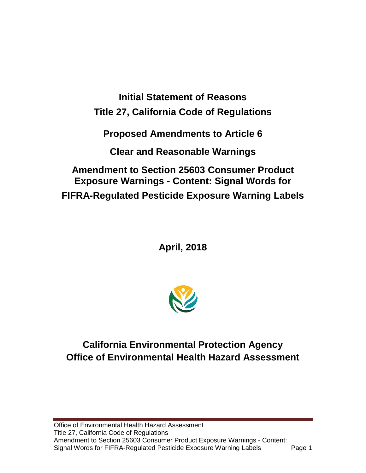**Initial Statement of Reasons Title 27, California Code of Regulations Proposed Amendments to Article 6 Clear and Reasonable Warnings** 

**Amendment to Section 25603 Consumer Product Exposure Warnings - Content: Signal Words for FIFRA-Regulated Pesticide Exposure Warning Labels** 

**April, 2018** 



# **California Environmental Protection Agency Office of Environmental Health Hazard Assessment**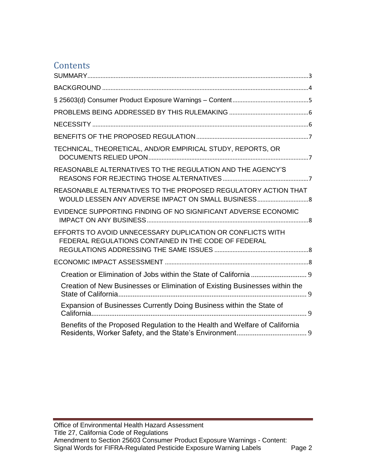# **Contents**

| TECHNICAL, THEORETICAL, AND/OR EMPIRICAL STUDY, REPORTS, OR                                                         |  |
|---------------------------------------------------------------------------------------------------------------------|--|
| REASONABLE ALTERNATIVES TO THE REGULATION AND THE AGENCY'S                                                          |  |
| REASONABLE ALTERNATIVES TO THE PROPOSED REGULATORY ACTION THAT<br>WOULD LESSEN ANY ADVERSE IMPACT ON SMALL BUSINESS |  |
| EVIDENCE SUPPORTING FINDING OF NO SIGNIFICANT ADVERSE ECONOMIC                                                      |  |
| EFFORTS TO AVOID UNNECESSARY DUPLICATION OR CONFLICTS WITH<br>FEDERAL REGULATIONS CONTAINED IN THE CODE OF FEDERAL  |  |
|                                                                                                                     |  |
|                                                                                                                     |  |
| Creation of New Businesses or Elimination of Existing Businesses within the                                         |  |
| Expansion of Businesses Currently Doing Business within the State of                                                |  |
| Benefits of the Proposed Regulation to the Health and Welfare of California                                         |  |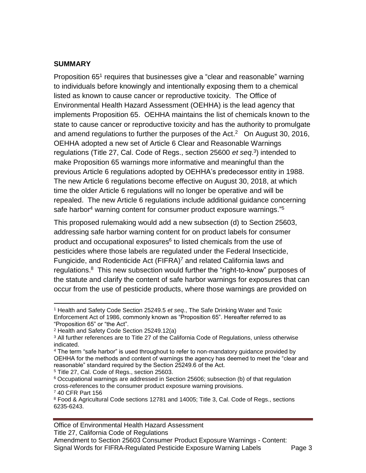#### <span id="page-2-0"></span>**SUMMARY**

 $\overline{a}$ 

Proposition 65<sup>1</sup> requires that businesses give a "clear and reasonable" warning to individuals before knowingly and intentionally exposing them to a chemical listed as known to cause cancer or reproductive toxicity. The Office of Environmental Health Hazard Assessment (OEHHA) is the lead agency that implements Proposition 65. OEHHA maintains the list of chemicals known to the state to cause cancer or reproductive toxicity and has the authority to promulgate and amend regulations to further the purposes of the Act. $2$  On August 30, 2016, OEHHA adopted a new set of Article 6 Clear and Reasonable Warnings regulations (Title 27, Cal. Code of Regs., section 25600 *et seq*. 3 ) intended to make Proposition 65 warnings more informative and meaningful than the previous Article 6 regulations adopted by OEHHA's predecessor entity in 1988. The new Article 6 regulations become effective on August 30, 2018, at which time the older Article 6 regulations will no longer be operative and will be repealed. The new Article 6 regulations include additional guidance concerning safe harbor<sup>4</sup> warning content for consumer product exposure warnings."<sup>5</sup>

This proposed rulemaking would add a new subsection (d) to Section 25603, addressing safe harbor warning content for on product labels for consumer product and occupational exposures<sup>6</sup> to listed chemicals from the use of pesticides where those labels are regulated under the Federal Insecticide, Fungicide, and Rodenticide Act (FIFRA)<sup>7</sup> and related California laws and regulations.<sup>8</sup> This new subsection would further the "right-to-know" purposes of the statute and clarify the content of safe harbor warnings for exposures that can occur from the use of pesticide products, where those warnings are provided on

5 Title 27, Cal. Code of Regs., section 25603.

<sup>1</sup> Health and Safety Code Section 25249.5 *et seq*., The Safe Drinking Water and Toxic Enforcement Act of 1986, commonly known as "Proposition 65". Hereafter referred to as "Proposition 65" or "the Act".

<sup>2</sup> Health and Safety Code Section 25249.12(a)

 $^3$  All further references are to Title 27 of the California Code of Regulations, unless otherwise indicated.

<sup>&</sup>lt;sup>4</sup> The term "safe harbor" is used throughout to refer to non-mandatory guidance provided by OEHHA for the methods and content of warnings the agency has deemed to meet the "clear and reasonable" standard required by the Section 25249.6 of the Act.

 $6$  Occupational warnings are addressed in Section 25606; subsection (b) of that regulation cross-references to the consumer product exposure warning provisions. <sup>7</sup> 40 CFR Part 156

<sup>&</sup>lt;sup>8</sup> Food & Agricultural Code sections 12781 and 14005; Title 3, Cal. Code of Regs., sections 6235-6243.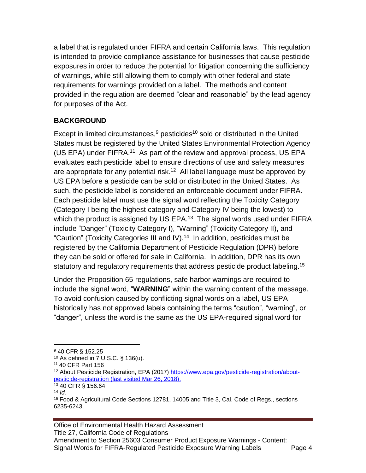a label that is regulated under FIFRA and certain California laws. This regulation is intended to provide compliance assistance for businesses that cause pesticide exposures in order to reduce the potential for litigation concerning the sufficiency of warnings, while still allowing them to comply with other federal and state requirements for warnings provided on a label. The methods and content provided in the regulation are deemed "clear and reasonable" by the lead agency for purposes of the Act.

#### <span id="page-3-0"></span>**BACKGROUND**

Except in limited circumstances, $9$  pesticides<sup>10</sup> sold or distributed in the United States must be registered by the United States Environmental Protection Agency (US EPA) under FIFRA.<sup>11</sup> As part of the review and approval process, US EPA evaluates each pesticide label to ensure directions of use and safety measures are appropriate for any potential risk.<sup>12</sup> All label language must be approved by US EPA before a pesticide can be sold or distributed in the United States. As such, the pesticide label is considered an enforceable document under FIFRA. Each pesticide label must use the signal word reflecting the Toxicity Category (Category I being the highest category and Category IV being the lowest) to which the product is assigned by US EPA. $13$  The signal words used under FIFRA include "Danger" (Toxicity Category I), "Warning" (Toxicity Category II), and "Caution" (Toxicity Categories III and IV).<sup>14</sup> In addition, pesticides must be registered by the California Department of Pesticide Regulation (DPR) before they can be sold or offered for sale in California. In addition, DPR has its own statutory and regulatory requirements that address pesticide product labeling.<sup>15</sup>

Under the Proposition 65 regulations, safe harbor warnings are required to include the signal word, "**WARNING**" within the warning content of the message. To avoid confusion caused by conflicting signal words on a label, US EPA historically has not approved labels containing the terms "caution", "warning", or "danger", unless the word is the same as the US EPA-required signal word for

 $\overline{a}$ 

Office of Environmental Health Hazard Assessment Title 27, California Code of Regulations Amendment to Section 25603 Consumer Product Exposure Warnings - Content: Signal Words for FIFRA-Regulated Pesticide Exposure Warning Labels Page 4

<sup>9</sup> 40 CFR § 152.25

<sup>10</sup> As defined in 7 U.S.C. § 136(u).

<sup>&</sup>lt;sup>11</sup> 40 CFR Part 156

<sup>12</sup> About Pesticide Registration, EPA (2017) [https://www.epa.gov/pesticide-registration/about](https://www.epa.gov/pesticide-registration/about-pesticide-registration)[pesticide-registration \(](https://www.epa.gov/pesticide-registration/about-pesticide-registration)last visited Mar 26, 2018).

<sup>13</sup> 40 CFR § 156.64

<sup>14</sup> *Id.*

<sup>15</sup> Food & Agricultural Code Sections 12781, 14005 and Title 3, Cal. Code of Regs., sections 6235-6243.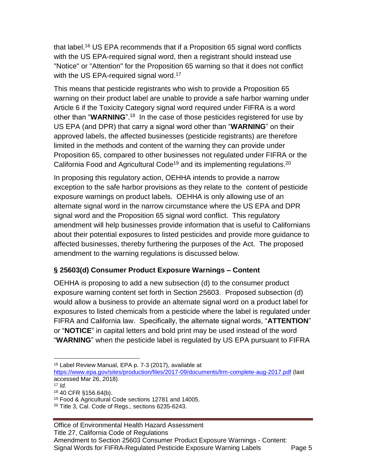that label.<sup>16</sup> US EPA recommends that if a Proposition 65 signal word conflicts with the US EPA-required signal word, then a registrant should instead use "Notice" or "Attention" for the Proposition 65 warning so that it does not conflict with the US EPA-required signal word.<sup>17</sup>

This means that pesticide registrants who wish to provide a Proposition 65 warning on their product label are unable to provide a safe harbor warning under Article 6 if the Toxicity Category signal word required under FIFRA is a word other than "WARNING".<sup>18</sup> In the case of those pesticides registered for use by US EPA (and DPR) that carry a signal word other than "**WARNING**" on their approved labels, the affected businesses (pesticide registrants) are therefore limited in the methods and content of the warning they can provide under Proposition 65, compared to other businesses not regulated under FIFRA or the California Food and Agricultural Code<sup>19</sup> and its implementing regulations.<sup>20</sup>

In proposing this regulatory action, OEHHA intends to provide a narrow exception to the safe harbor provisions as they relate to the content of pesticide exposure warnings on product labels. OEHHA is only allowing use of an alternate signal word in the narrow circumstance where the US EPA and DPR signal word and the Proposition 65 signal word conflict. This regulatory amendment will help businesses provide information that is useful to Californians about their potential exposures to listed pesticides and provide more guidance to affected businesses, thereby furthering the purposes of the Act. The proposed amendment to the warning regulations is discussed below.

# <span id="page-4-0"></span>**§ 25603(d) Consumer Product Exposure Warnings – Content**

OEHHA is proposing to add a new subsection (d) to the consumer product exposure warning content set forth in Section 25603. Proposed subsection (d) would allow a business to provide an alternate signal word on a product label for exposures to listed chemicals from a pesticide where the label is regulated under FIFRA and California law. Specifically, the alternate signal words, "**ATTENTION**" or "**NOTICE**" in capital letters and bold print may be used instead of the word "**WARNING**" when the pesticide label is regulated by US EPA pursuant to FIFRA

 $\overline{a}$ 

<sup>16</sup> Label Review Manual, EPA p. 7-3 (2017), available at

<https://www.epa.gov/sites/production/files/2017-09/documents/lrm-complete-aug-2017.pdf> (last accessed Mar 26, 2018).

 $17$  *Id.* 

<sup>18</sup> 40 CFR §156.64(b).

<sup>19</sup> Food & Agricultural Code sections 12781 and 14005.

 $20$  Title 3, Cal. Code of Regs., sections 6235-6243.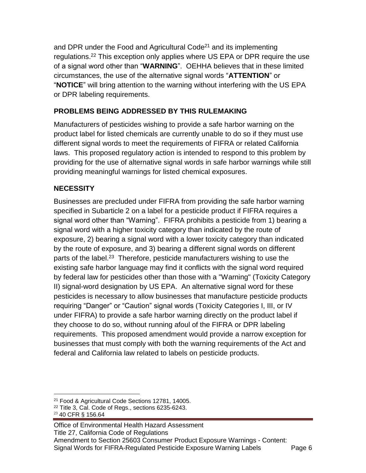and DPR under the Food and Agricultural Code $21$  and its implementing regulations.<sup>22</sup> This exception only applies where US EPA or DPR require the use of a signal word other than "**WARNING**". OEHHA believes that in these limited circumstances, the use of the alternative signal words "**ATTENTION**" or "**NOTICE**" will bring attention to the warning without interfering with the US EPA or DPR labeling requirements.

# <span id="page-5-0"></span>**PROBLEMS BEING ADDRESSED BY THIS RULEMAKING**

Manufacturers of pesticides wishing to provide a safe harbor warning on the product label for listed chemicals are currently unable to do so if they must use different signal words to meet the requirements of FIFRA or related California laws. This proposed regulatory action is intended to respond to this problem by providing for the use of alternative signal words in safe harbor warnings while still providing meaningful warnings for listed chemical exposures.

# <span id="page-5-1"></span>**NECESSITY**

Businesses are precluded under FIFRA from providing the safe harbor warning specified in Subarticle 2 on a label for a pesticide product if FIFRA requires a signal word other than "Warning". FIFRA prohibits a pesticide from 1) bearing a signal word with a higher toxicity category than indicated by the route of exposure, 2) bearing a signal word with a lower toxicity category than indicated by the route of exposure, and 3) bearing a different signal words on different parts of the label.<sup>23</sup> Therefore, pesticide manufacturers wishing to use the existing safe harbor language may find it conflicts with the signal word required by federal law for pesticides other than those with a "Warning" (Toxicity Category II) signal-word designation by US EPA. An alternative signal word for these pesticides is necessary to allow businesses that manufacture pesticide products requiring "Danger" or "Caution" signal words (Toxicity Categories I, III, or IV under FIFRA) to provide a safe harbor warning directly on the product label if they choose to do so, without running afoul of the FIFRA or DPR labeling requirements. This proposed amendment would provide a narrow exception for businesses that must comply with both the warning requirements of the Act and federal and California law related to labels on pesticide products.

Office of Environmental Health Hazard Assessment Title 27, California Code of Regulations Amendment to Section 25603 Consumer Product Exposure Warnings - Content: Signal Words for FIFRA-Regulated Pesticide Exposure Warning Labels Page 6

 $\overline{a}$ <sup>21</sup> Food & Agricultural Code Sections 12781, 14005.

<sup>22</sup> Title 3, Cal. Code of Regs., sections 6235-6243.

<sup>23</sup> 40 CFR § 156.64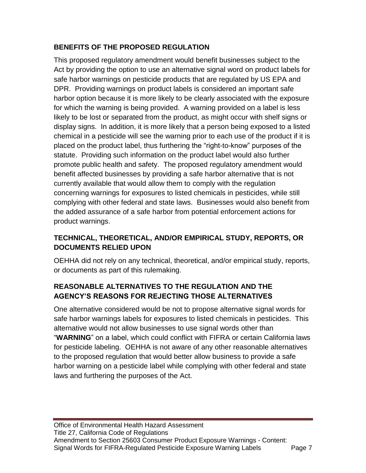# <span id="page-6-0"></span>**BENEFITS OF THE PROPOSED REGULATION**

This proposed regulatory amendment would benefit businesses subject to the Act by providing the option to use an alternative signal word on product labels for safe harbor warnings on pesticide products that are regulated by US EPA and DPR. Providing warnings on product labels is considered an important safe harbor option because it is more likely to be clearly associated with the exposure for which the warning is being provided. A warning provided on a label is less likely to be lost or separated from the product, as might occur with shelf signs or display signs. In addition, it is more likely that a person being exposed to a listed chemical in a pesticide will see the warning prior to each use of the product if it is placed on the product label, thus furthering the "right-to-know" purposes of the statute. Providing such information on the product label would also further promote public health and safety. The proposed regulatory amendment would benefit affected businesses by providing a safe harbor alternative that is not currently available that would allow them to comply with the regulation concerning warnings for exposures to listed chemicals in pesticides, while still complying with other federal and state laws. Businesses would also benefit from the added assurance of a safe harbor from potential enforcement actions for product warnings.

# <span id="page-6-1"></span>**TECHNICAL, THEORETICAL, AND/OR EMPIRICAL STUDY, REPORTS, OR DOCUMENTS RELIED UPON**

OEHHA did not rely on any technical, theoretical, and/or empirical study, reports, or documents as part of this rulemaking.

# <span id="page-6-2"></span>**REASONABLE ALTERNATIVES TO THE REGULATION AND THE AGENCY'S REASONS FOR REJECTING THOSE ALTERNATIVES**

One alternative considered would be not to propose alternative signal words for safe harbor warnings labels for exposures to listed chemicals in pesticides. This alternative would not allow businesses to use signal words other than "**WARNING**" on a label, which could conflict with FIFRA or certain California laws for pesticide labeling. OEHHA is not aware of any other reasonable alternatives to the proposed regulation that would better allow business to provide a safe harbor warning on a pesticide label while complying with other federal and state laws and furthering the purposes of the Act.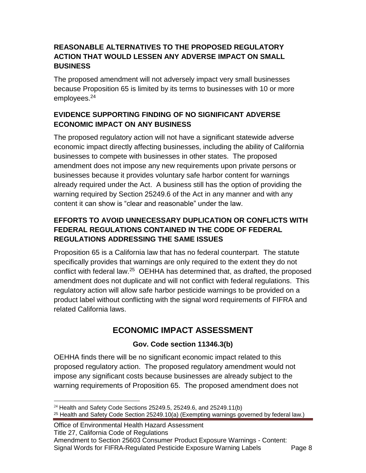#### <span id="page-7-0"></span>**REASONABLE ALTERNATIVES TO THE PROPOSED REGULATORY ACTION THAT WOULD LESSEN ANY ADVERSE IMPACT ON SMALL BUSINESS**

The proposed amendment will not adversely impact very small businesses because Proposition 65 is limited by its terms to businesses with 10 or more employees.<sup>24</sup>

# <span id="page-7-1"></span>**EVIDENCE SUPPORTING FINDING OF NO SIGNIFICANT ADVERSE ECONOMIC IMPACT ON ANY BUSINESS**

The proposed regulatory action will not have a significant statewide adverse economic impact directly affecting businesses, including the ability of California businesses to compete with businesses in other states. The proposed amendment does not impose any new requirements upon private persons or businesses because it provides voluntary safe harbor content for warnings already required under the Act. A business still has the option of providing the warning required by Section 25249.6 of the Act in any manner and with any content it can show is "clear and reasonable" under the law.

# <span id="page-7-2"></span>**EFFORTS TO AVOID UNNECESSARY DUPLICATION OR CONFLICTS WITH FEDERAL REGULATIONS CONTAINED IN THE CODE OF FEDERAL REGULATIONS ADDRESSING THE SAME ISSUES**

Proposition 65 is a California law that has no federal counterpart. The statute specifically provides that warnings are only required to the extent they do not conflict with federal law.<sup>25</sup> OEHHA has determined that, as drafted, the proposed amendment does not duplicate and will not conflict with federal regulations. This regulatory action will allow safe harbor pesticide warnings to be provided on a product label without conflicting with the signal word requirements of FIFRA and related California laws.

# **ECONOMIC IMPACT ASSESSMENT**

# **Gov. Code section 11346.3(b)**

<span id="page-7-3"></span>OEHHA finds there will be no significant economic impact related to this proposed regulatory action. The proposed regulatory amendment would not impose any significant costs because businesses are already subject to the warning requirements of Proposition 65. The proposed amendment does not

 $\overline{a}$ <sup>24</sup> Health and Safety Code Sections 25249.5, 25249.6, and 25249.11(b)  $25$  Health and Safety Code Section 25249.10(a) (Exempting warnings governed by federal law.)

Office of Environmental Health Hazard Assessment Title 27, California Code of Regulations Amendment to Section 25603 Consumer Product Exposure Warnings - Content: Signal Words for FIFRA-Regulated Pesticide Exposure Warning Labels Page 8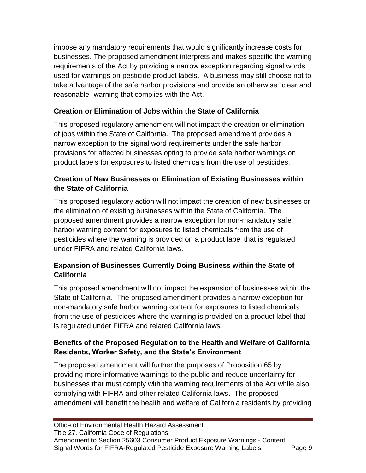impose any mandatory requirements that would significantly increase costs for businesses. The proposed amendment interprets and makes specific the warning requirements of the Act by providing a narrow exception regarding signal words used for warnings on pesticide product labels. A business may still choose not to take advantage of the safe harbor provisions and provide an otherwise "clear and reasonable" warning that complies with the Act.

# <span id="page-8-0"></span>**Creation or Elimination of Jobs within the State of California**

This proposed regulatory amendment will not impact the creation or elimination of jobs within the State of California. The proposed amendment provides a narrow exception to the signal word requirements under the safe harbor provisions for affected businesses opting to provide safe harbor warnings on product labels for exposures to listed chemicals from the use of pesticides.

#### <span id="page-8-1"></span>**Creation of New Businesses or Elimination of Existing Businesses within the State of California**

This proposed regulatory action will not impact the creation of new businesses or the elimination of existing businesses within the State of California. The proposed amendment provides a narrow exception for non-mandatory safe harbor warning content for exposures to listed chemicals from the use of pesticides where the warning is provided on a product label that is regulated under FIFRA and related California laws.

#### <span id="page-8-2"></span>**Expansion of Businesses Currently Doing Business within the State of California**

This proposed amendment will not impact the expansion of businesses within the State of California. The proposed amendment provides a narrow exception for non-mandatory safe harbor warning content for exposures to listed chemicals from the use of pesticides where the warning is provided on a product label that is regulated under FIFRA and related California laws.

#### <span id="page-8-3"></span>**Benefits of the Proposed Regulation to the Health and Welfare of California Residents, Worker Safety, and the State's Environment**

The proposed amendment will further the purposes of Proposition 65 by providing more informative warnings to the public and reduce uncertainty for businesses that must comply with the warning requirements of the Act while also complying with FIFRA and other related California laws. The proposed amendment will benefit the health and welfare of California residents by providing